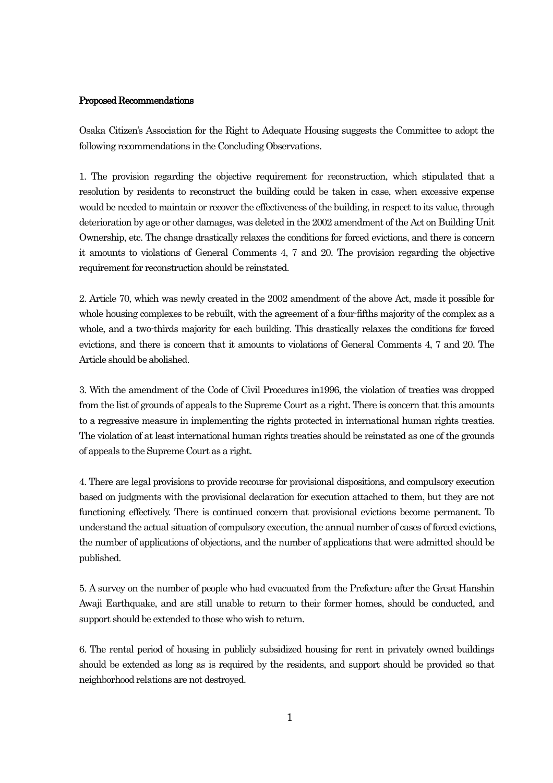## Proposed Recommendations

Osaka Citizen's Association for the Right to Adequate Housing suggests the Committee to adopt the following recommendations in the Concluding Observations.

1. The provision regarding the objective requirement for reconstruction, which stipulated that a resolution by residents to reconstruct the building could be taken in case, when excessive expense would be needed to maintain or recover the effectiveness of the building, in respect to its value, through deterioration by age or other damages, was deleted in the 2002 amendment of the Act on Building Unit Ownership, etc. The change drastically relaxes the conditions for forced evictions, and there is concern it amounts to violations of General Comments 4, 7 and 20. The provision regarding the objective requirement for reconstruction should be reinstated.

2. Article 70, which was newly created in the 2002 amendment of the above Act, made it possible for whole housing complexes to be rebuilt, with the agreement of a four-fifths majority of the complex as a whole, and a two-thirds majority for each building. This drastically relaxes the conditions for forced evictions, and there is concern that it amounts to violations of General Comments 4, 7 and 20. The Article should be abolished.

3. With the amendment of the Code of Civil Procedures in1996, the violation of treaties was dropped from the list of grounds of appeals to the Supreme Court as a right. There is concern that this amounts to a regressive measure in implementing the rights protected in international human rights treaties. The violation of at least international human rights treaties should be reinstated as one of the grounds of appeals to the Supreme Court as a right.

4. There are legal provisions to provide recourse for provisional dispositions, and compulsory execution based on judgments with the provisional declaration for execution attached to them, but they are not functioning effectively. There is continued concern that provisional evictions become permanent. To understand the actual situation of compulsory execution, the annual number of cases of forced evictions, the number of applications of objections, and the number of applications that were admitted should be published.

5. A survey on the number of people who had evacuated from the Prefecture after the Great Hanshin Awaji Earthquake, and are still unable to return to their former homes, should be conducted, and support should be extended to those who wish to return.

6. The rental period of housing in publicly subsidized housing for rent in privately owned buildings should be extended as long as is required by the residents, and support should be provided so that neighborhood relations are not destroyed.